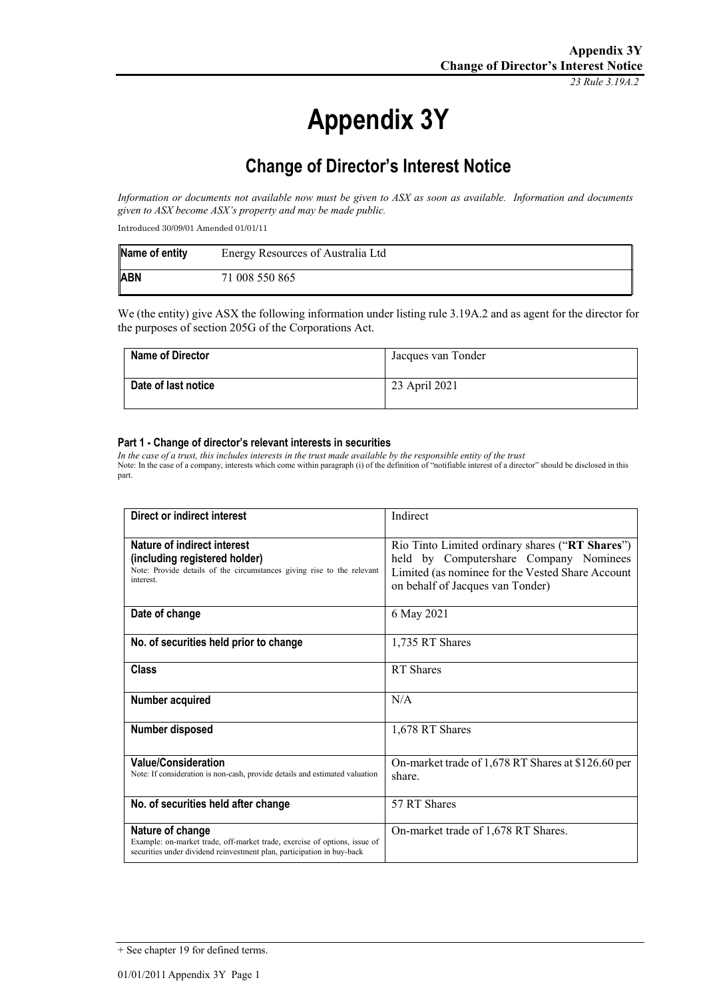*23 Rule 3.19A.2*

# **Appendix 3Y**

# **Change of Director's Interest Notice**

*Information or documents not available now must be given to ASX as soon as available. Information and documents given to ASX become ASX's property and may be made public.*

Introduced 30/09/01 Amended 01/01/11

| Name of entity | Energy Resources of Australia Ltd |
|----------------|-----------------------------------|
| <b>ABN</b>     | 71 008 550 865                    |

We (the entity) give ASX the following information under listing rule 3.19A.2 and as agent for the director for the purposes of section 205G of the Corporations Act.

| Name of Director    | Jacques van Tonder |
|---------------------|--------------------|
| Date of last notice | 23 April 2021      |

#### **Part 1 - Change of director's relevant interests in securities**

*In the case of a trust, this includes interests in the trust made available by the responsible entity of the trust* Note: In the case of a company, interests which come within paragraph (i) of the definition of "notifiable interest of a director" should be disclosed in this part.

| Direct or indirect interest                                                                                                                                             | Indirect                                                                                                                                                                          |
|-------------------------------------------------------------------------------------------------------------------------------------------------------------------------|-----------------------------------------------------------------------------------------------------------------------------------------------------------------------------------|
| Nature of indirect interest<br>(including registered holder)<br>Note: Provide details of the circumstances giving rise to the relevant<br>interest.                     | Rio Tinto Limited ordinary shares ("RT Shares")<br>held by Computershare Company Nominees<br>Limited (as nominee for the Vested Share Account<br>on behalf of Jacques van Tonder) |
| Date of change                                                                                                                                                          | 6 May 2021                                                                                                                                                                        |
| No. of securities held prior to change                                                                                                                                  | 1,735 RT Shares                                                                                                                                                                   |
| Class                                                                                                                                                                   | RT Shares                                                                                                                                                                         |
| Number acquired                                                                                                                                                         | N/A                                                                                                                                                                               |
| Number disposed                                                                                                                                                         | 1,678 RT Shares                                                                                                                                                                   |
| <b>Value/Consideration</b><br>Note: If consideration is non-cash, provide details and estimated valuation                                                               | On-market trade of 1,678 RT Shares at \$126.60 per<br>share.                                                                                                                      |
| No. of securities held after change                                                                                                                                     | 57 RT Shares                                                                                                                                                                      |
| Nature of change<br>Example: on-market trade, off-market trade, exercise of options, issue of<br>securities under dividend reinvestment plan, participation in buy-back | On-market trade of 1,678 RT Shares.                                                                                                                                               |

<sup>+</sup> See chapter 19 for defined terms.